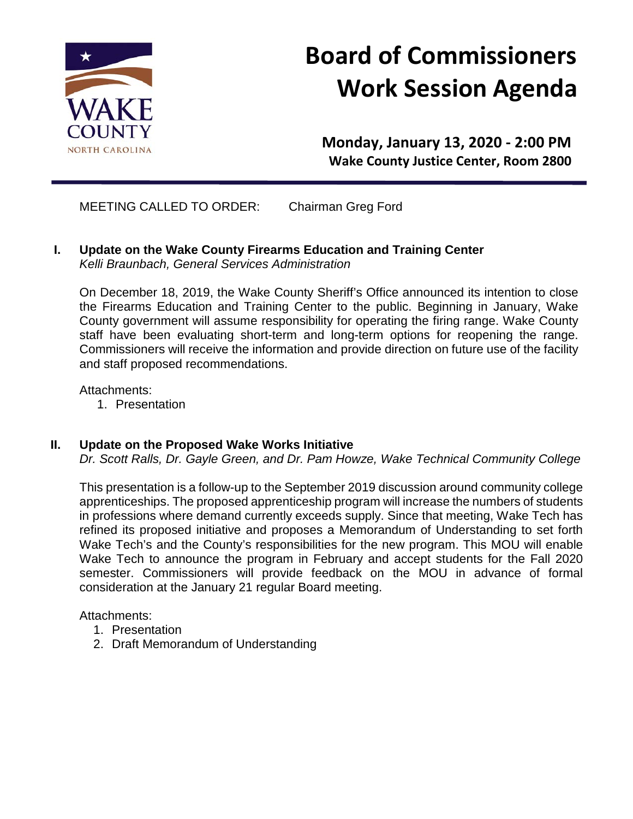

# **Board of Commissioners Work Session Agenda**

**Monday, January 13, 2020 - 2:00 PM Wake County Justice Center, Room 2800**

MEETING CALLED TO ORDER: Chairman Greg Ford

**I. Update on the Wake County Firearms Education and Training Center** *Kelli Braunbach, General Services Administration*

On December 18, 2019, the Wake County Sheriff's Office announced its intention to close the Firearms Education and Training Center to the public. Beginning in January, Wake County government will assume responsibility for operating the firing range. Wake County staff have been evaluating short-term and long-term options for reopening the range. Commissioners will receive the information and provide direction on future use of the facility and staff proposed recommendations.

Attachments:

1. Presentation

### **II. Update on the Proposed Wake Works Initiative**

*Dr. Scott Ralls, Dr. Gayle Green, and Dr. Pam Howze, Wake Technical Community College*

This presentation is a follow-up to the September 2019 discussion around community college apprenticeships. The proposed apprenticeship program will increase the numbers of students in professions where demand currently exceeds supply. Since that meeting, Wake Tech has refined its proposed initiative and proposes a Memorandum of Understanding to set forth Wake Tech's and the County's responsibilities for the new program. This MOU will enable Wake Tech to announce the program in February and accept students for the Fall 2020 semester. Commissioners will provide feedback on the MOU in advance of formal consideration at the January 21 regular Board meeting.

Attachments:

- 1. Presentation
- 2. Draft Memorandum of Understanding